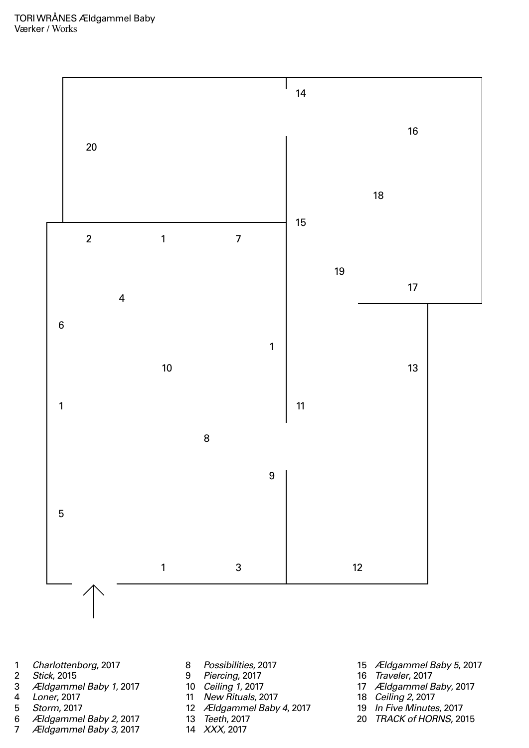- *Charlottenborg*, 2017
- *Stick*, 2015
- *Ældgammel Baby 1*, 2017
- *Loner*, 2017
- *Storm*, 2017
- *Ældgammel Baby 2*, 2017
- *Ældgammel Baby 3*, 2017
- *Possibilities*, 2017
- *Piercing*, 2017
- *Ceiling 1*, 2017
- *New Rituals*, 2017
- *Ældgammel Baby 4*, 2017
- *Teeth*, 2017
- *XXX*, 2017



- *Ældgammel Baby 5*, 2017
- *Traveler*, 2017
- *Ældgammel Baby*, 2017
- *Ceiling 2*, 2017
- *In Five Minutes*, 2017
- *TRACK of HORNS*, 2015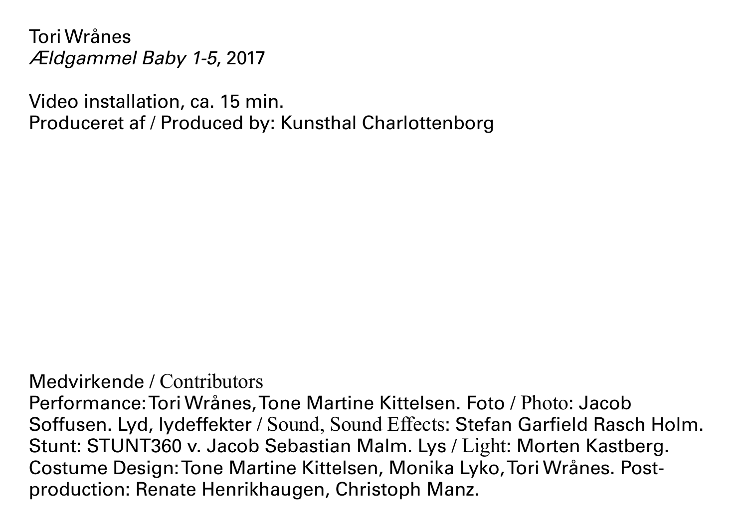Tori Wrånes *Ældgammel Baby 1-5*, 2017

Video installation, ca. 15 min. Produceret af / Produced by: Kunsthal Charlottenborg

Medvirkende / Contributors

Performance: Tori Wrånes, Tone Martine Kittelsen. Foto / Photo: Jacob Soffusen. Lyd, lydeffekter / Sound, Sound Effects: Stefan Garfield Rasch Holm. Stunt: STUNT360 v. Jacob Sebastian Malm. Lys / Light: Morten Kastberg. Costume Design: Tone Martine Kittelsen, Monika Lyko, Tori Wrånes. Postproduction: Renate Henrikhaugen, Christoph Manz.